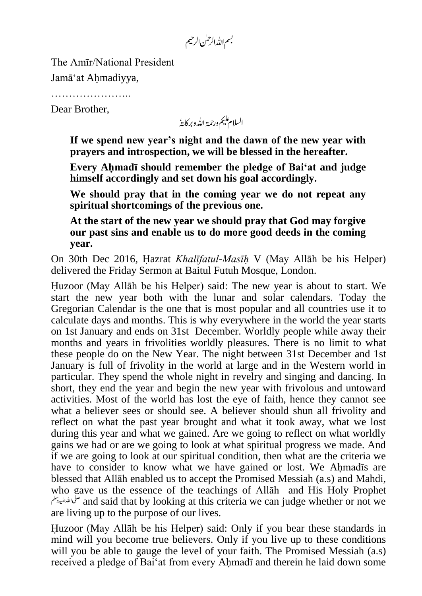بسم الله الرحمٰن الرحيم

The Amīr/National President Jamā"at Ahmadiyya,

…………………..

Dear Brother,

السلام عليم ورحمة الله وبركايةُ

**If we spend new year's night and the dawn of the new year with prayers and introspection, we will be blessed in the hereafter.**

**Every Ahmadī should remember the pledge of Bai'at and judge himself accordingly and set down his goal accordingly.**

**We should pray that in the coming year we do not repeat any spiritual shortcomings of the previous one.**

**At the start of the new year we should pray that God may forgive our past sins and enable us to do more good deeds in the coming year.**

On 30th Dec 2016, Hazrat *Khalīfatul-Masīh* V (May Allāh be his Helper) delivered the Friday Sermon at Baitul Futuh Mosque, London.

Huzoor (May Allāh be his Helper) said: The new year is about to start. We start the new year both with the lunar and solar calendars. Today the Gregorian Calendar is the one that is most popular and all countries use it to calculate days and months. This is why everywhere in the world the year starts on 1st January and ends on 31st December. Worldly people while away their months and years in frivolities worldly pleasures. There is no limit to what these people do on the New Year. The night between 31st December and 1st January is full of frivolity in the world at large and in the Western world in particular. They spend the whole night in revelry and singing and dancing. In short, they end the year and begin the new year with frivolous and untoward activities. Most of the world has lost the eye of faith, hence they cannot see what a believer sees or should see. A believer should shun all frivolity and reflect on what the past year brought and what it took away, what we lost during this year and what we gained. Are we going to reflect on what worldly gains we had or are we going to look at what spiritual progress we made. And if we are going to look at our spiritual condition, then what are the criteria we have to consider to know what we have gained or lost. We Ahmadīs are blessed that Allāh enabled us to accept the Promised Messiah (a.s) and Mahdi, who gave us the essence of the teachings of Allāh and His Holy Prophet and said that by looking at this criteria we can judge whether or not we are living up to the purpose of our lives.

Huzoor (May Allāh be his Helper) said: Only if you bear these standards in mind will you become true believers. Only if you live up to these conditions will you be able to gauge the level of your faith. The Promised Messiah (a.s) received a pledge of Bai"at from every Ahmadī and therein he laid down some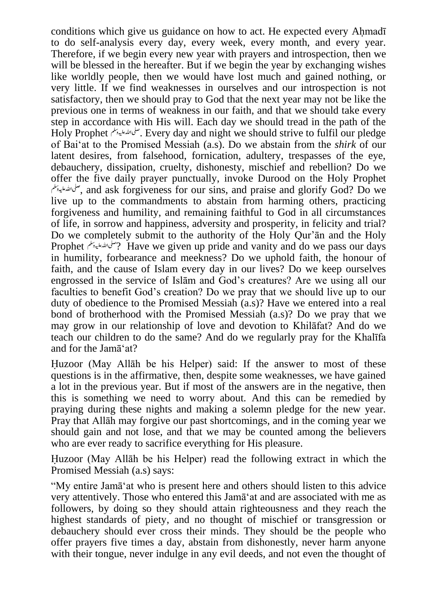conditions which give us guidance on how to act. He expected every Ahmadī to do self-analysis every day, every week, every month, and every year. Therefore, if we begin every new year with prayers and introspection, then we will be blessed in the hereafter. But if we begin the year by exchanging wishes like worldly people, then we would have lost much and gained nothing, or very little. If we find weaknesses in ourselves and our introspection is not satisfactory, then we should pray to God that the next year may not be like the previous one in terms of weakness in our faith, and that we should take every step in accordance with His will. Each day we should tread in the path of the Holy Prophet . Every day and night we should strive to fulfil our pledge of Bai"at to the Promised Messiah (a.s). Do we abstain from the *shirk* of our latent desires, from falsehood, fornication, adultery, trespasses of the eye, debauchery, dissipation, cruelty, dishonesty, mischief and rebellion? Do we offer the five daily prayer punctually, invoke Durood on the Holy Prophet , and ask forgiveness for our sins, and praise and glorify God? Do we live up to the commandments to abstain from harming others, practicing forgiveness and humility, and remaining faithful to God in all circumstances of life, in sorrow and happiness, adversity and prosperity, in felicity and trial? Do we completely submit to the authority of the Holy Qur"ān and the Holy Prophet ? Have we given up pride and vanity and do we pass our days in humility, forbearance and meekness? Do we uphold faith, the honour of faith, and the cause of Islam every day in our lives? Do we keep ourselves engrossed in the service of Islām and God"s creatures? Are we using all our faculties to benefit God"s creation? Do we pray that we should live up to our duty of obedience to the Promised Messiah (a.s)? Have we entered into a real bond of brotherhood with the Promised Messiah (a.s)? Do we pray that we may grow in our relationship of love and devotion to Khilāfat? And do we teach our children to do the same? And do we regularly pray for the Khalīfa and for the Jamā"at?

Huzoor (May Allāh be his Helper) said: If the answer to most of these questions is in the affirmative, then, despite some weaknesses, we have gained a lot in the previous year. But if most of the answers are in the negative, then this is something we need to worry about. And this can be remedied by praying during these nights and making a solemn pledge for the new year. Pray that Allāh may forgive our past shortcomings, and in the coming year we should gain and not lose, and that we may be counted among the believers who are ever ready to sacrifice everything for His pleasure.

Huzoor (May Allāh be his Helper) read the following extract in which the Promised Messiah (a.s) says:

"My entire Jamā"at who is present here and others should listen to this advice very attentively. Those who entered this Jamā"at and are associated with me as followers, by doing so they should attain righteousness and they reach the highest standards of piety, and no thought of mischief or transgression or debauchery should ever cross their minds. They should be the people who offer prayers five times a day, abstain from dishonestly, never harm anyone with their tongue, never indulge in any evil deeds, and not even the thought of